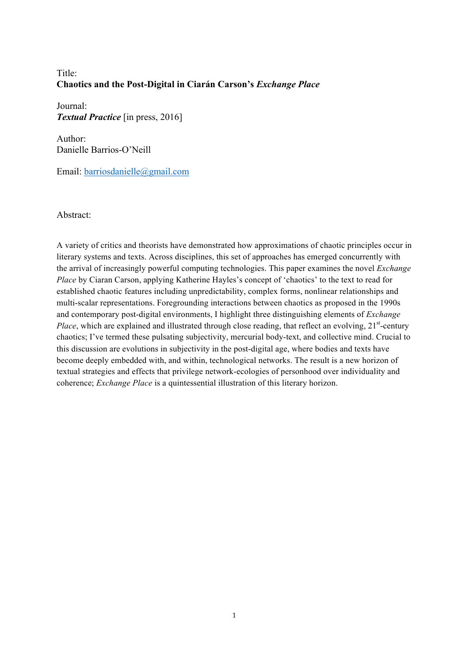# Title<sup>-</sup> **Chaotics and the Post-Digital in Ciarán Carson's** *Exchange Place*

Journal: *Textual Practice* [in press, 2016]

Author: Danielle Barrios-O'Neill

Email: barriosdanielle@gmail.com

Abstract:

A variety of critics and theorists have demonstrated how approximations of chaotic principles occur in literary systems and texts. Across disciplines, this set of approaches has emerged concurrently with the arrival of increasingly powerful computing technologies. This paper examines the novel *Exchange Place* by Ciaran Carson, applying Katherine Hayles's concept of 'chaotics' to the text to read for established chaotic features including unpredictability, complex forms, nonlinear relationships and multi-scalar representations. Foregrounding interactions between chaotics as proposed in the 1990s and contemporary post-digital environments, I highlight three distinguishing elements of *Exchange*  Place, which are explained and illustrated through close reading, that reflect an evolving, 21<sup>st</sup>-century chaotics; I've termed these pulsating subjectivity, mercurial body-text, and collective mind. Crucial to this discussion are evolutions in subjectivity in the post-digital age, where bodies and texts have become deeply embedded with, and within, technological networks. The result is a new horizon of textual strategies and effects that privilege network-ecologies of personhood over individuality and coherence; *Exchange Place* is a quintessential illustration of this literary horizon.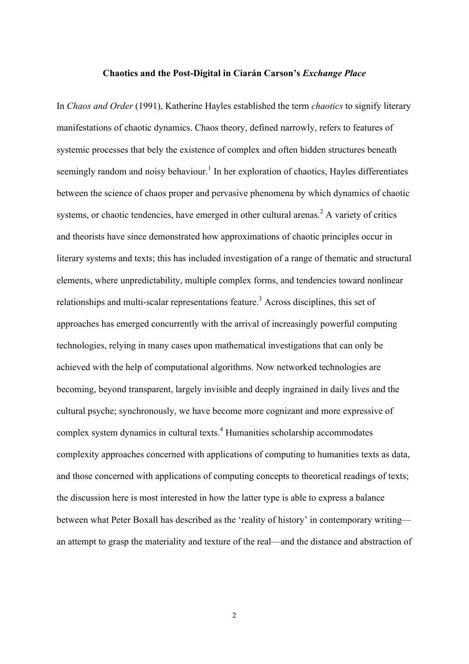### **Chaotics and the Post-Digital in Ciarán Carson's** *Exchange Place*

In *Chaos and Order* (1991), Katherine Hayles established the term *chaotics* to signify literary manifestations of chaotic dynamics. Chaos theory, defined narrowly, refers to features of systemic processes that bely the existence of complex and often hidden structures beneath seemingly random and noisy behaviour.<sup>1</sup> In her exploration of chaotics, Hayles differentiates between the science of chaos proper and pervasive phenomena by which dynamics of chaotic systems, or chaotic tendencies, have emerged in other cultural arenas.<sup>2</sup> A variety of critics and theorists have since demonstrated how approximations of chaotic principles occur in literary systems and texts; this has included investigation of a range of thematic and structural elements, where unpredictability, multiple complex forms, and tendencies toward nonlinear relationships and multi-scalar representations feature. <sup>3</sup> Across disciplines, this set of approaches has emerged concurrently with the arrival of increasingly powerful computing technologies, relying in many cases upon mathematical investigations that can only be achieved with the help of computational algorithms. Now networked technologies are becoming, beyond transparent, largely invisible and deeply ingrained in daily lives and the cultural psyche; synchronously, we have become more cognizant and more expressive of complex system dynamics in cultural texts.<sup>4</sup> Humanities scholarship accommodates complexity approaches concerned with applications of computing to humanities texts as data, and those concerned with applications of computing concepts to theoretical readings of texts; the discussion here is most interested in how the latter type is able to express a balance between what Peter Boxall has described as the 'reality of history' in contemporary writing an attempt to grasp the materiality and texture of the real—and the distance and abstraction of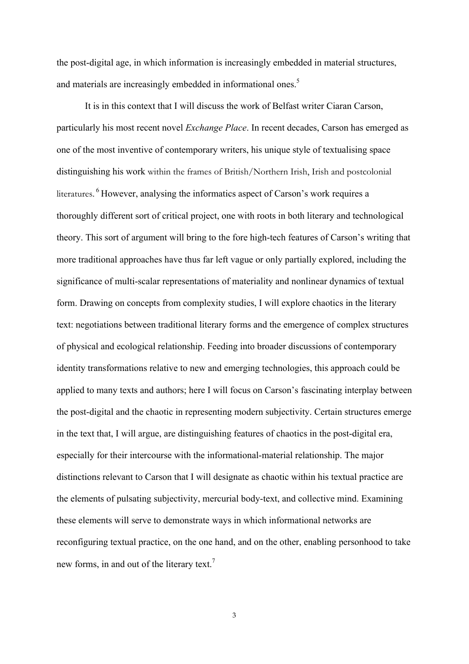the post-digital age, in which information is increasingly embedded in material structures, and materials are increasingly embedded in informational ones.<sup>5</sup>

It is in this context that I will discuss the work of Belfast writer Ciaran Carson, particularly his most recent novel *Exchange Place*. In recent decades, Carson has emerged as one of the most inventive of contemporary writers, his unique style of textualising space distinguishing his work within the frames of British/Northern Irish, Irish and postcolonial literatures. <sup>6</sup> However, analysing the informatics aspect of Carson's work requires a thoroughly different sort of critical project, one with roots in both literary and technological theory. This sort of argument will bring to the fore high-tech features of Carson's writing that more traditional approaches have thus far left vague or only partially explored, including the significance of multi-scalar representations of materiality and nonlinear dynamics of textual form. Drawing on concepts from complexity studies, I will explore chaotics in the literary text: negotiations between traditional literary forms and the emergence of complex structures of physical and ecological relationship. Feeding into broader discussions of contemporary identity transformations relative to new and emerging technologies, this approach could be applied to many texts and authors; here I will focus on Carson's fascinating interplay between the post-digital and the chaotic in representing modern subjectivity. Certain structures emerge in the text that, I will argue, are distinguishing features of chaotics in the post-digital era, especially for their intercourse with the informational-material relationship. The major distinctions relevant to Carson that I will designate as chaotic within his textual practice are the elements of pulsating subjectivity, mercurial body-text, and collective mind. Examining these elements will serve to demonstrate ways in which informational networks are reconfiguring textual practice, on the one hand, and on the other, enabling personhood to take new forms, in and out of the literary text.<sup>7</sup>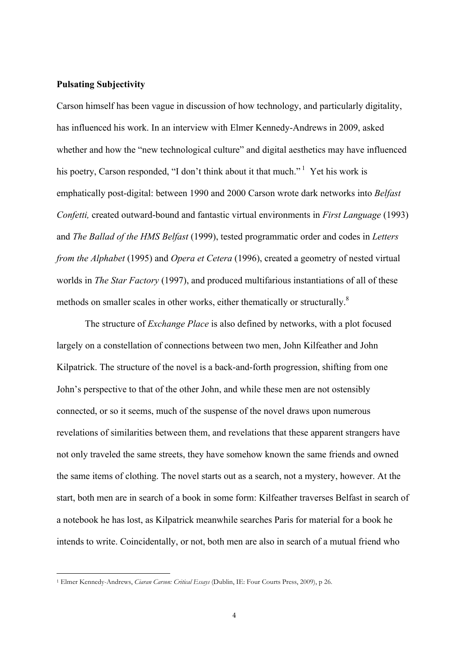#### **Pulsating Subjectivity**

Carson himself has been vague in discussion of how technology, and particularly digitality, has influenced his work. In an interview with Elmer Kennedy-Andrews in 2009, asked whether and how the "new technological culture" and digital aesthetics may have influenced his poetry, Carson responded, "I don't think about it that much."<sup>1</sup> Yet his work is emphatically post-digital: between 1990 and 2000 Carson wrote dark networks into *Belfast Confetti,* created outward-bound and fantastic virtual environments in *First Language* (1993) and *The Ballad of the HMS Belfast* (1999), tested programmatic order and codes in *Letters from the Alphabet* (1995) and *Opera et Cetera* (1996), created a geometry of nested virtual worlds in *The Star Factory* (1997), and produced multifarious instantiations of all of these methods on smaller scales in other works, either thematically or structurally.<sup>8</sup>

The structure of *Exchange Place* is also defined by networks, with a plot focused largely on a constellation of connections between two men, John Kilfeather and John Kilpatrick. The structure of the novel is a back-and-forth progression, shifting from one John's perspective to that of the other John, and while these men are not ostensibly connected, or so it seems, much of the suspense of the novel draws upon numerous revelations of similarities between them, and revelations that these apparent strangers have not only traveled the same streets, they have somehow known the same friends and owned the same items of clothing. The novel starts out as a search, not a mystery, however. At the start, both men are in search of a book in some form: Kilfeather traverses Belfast in search of a notebook he has lost, as Kilpatrick meanwhile searches Paris for material for a book he intends to write. Coincidentally, or not, both men are also in search of a mutual friend who

<u> 1989 - Johann Barn, mars ann an t-Amhain an t-Amhain an t-Amhain an t-Amhain an t-Amhain an t-Amhain an t-Amh</u>

<sup>1</sup> Elmer Kennedy-Andrews, *Ciaran Carson: Critical Essays* (Dublin, IE: Four Courts Press, 2009), p 26.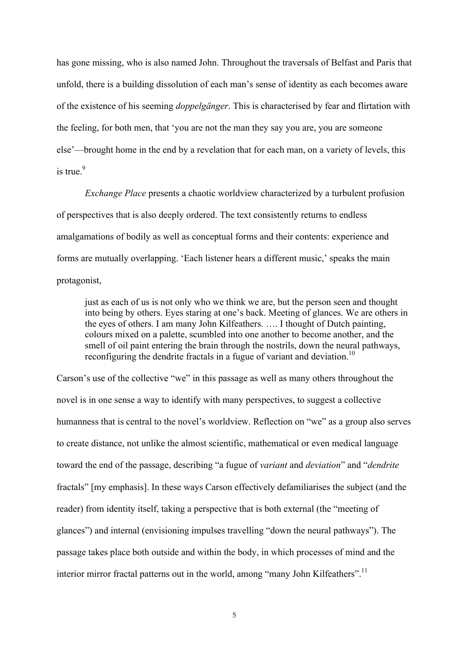has gone missing, who is also named John. Throughout the traversals of Belfast and Paris that unfold, there is a building dissolution of each man's sense of identity as each becomes aware of the existence of his seeming *doppelgänger*. This is characterised by fear and flirtation with the feeling, for both men, that 'you are not the man they say you are, you are someone else'—brought home in the end by a revelation that for each man, on a variety of levels, this is true. $9$ 

*Exchange Place* presents a chaotic worldview characterized by a turbulent profusion of perspectives that is also deeply ordered. The text consistently returns to endless amalgamations of bodily as well as conceptual forms and their contents: experience and forms are mutually overlapping. 'Each listener hears a different music,' speaks the main protagonist,

just as each of us is not only who we think we are, but the person seen and thought into being by others. Eyes staring at one's back. Meeting of glances. We are others in the eyes of others. I am many John Kilfeathers. …. I thought of Dutch painting, colours mixed on a palette, scumbled into one another to become another, and the smell of oil paint entering the brain through the nostrils, down the neural pathways, reconfiguring the dendrite fractals in a fugue of variant and deviation.<sup>10</sup>

Carson's use of the collective "we" in this passage as well as many others throughout the novel is in one sense a way to identify with many perspectives, to suggest a collective humanness that is central to the novel's worldview. Reflection on "we" as a group also serves to create distance, not unlike the almost scientific, mathematical or even medical language toward the end of the passage, describing "a fugue of *variant* and *deviation*" and "*dendrite* fractals" [my emphasis]. In these ways Carson effectively defamiliarises the subject (and the reader) from identity itself, taking a perspective that is both external (the "meeting of glances") and internal (envisioning impulses travelling "down the neural pathways"). The passage takes place both outside and within the body, in which processes of mind and the interior mirror fractal patterns out in the world, among "many John Kilfeathers".<sup>11</sup>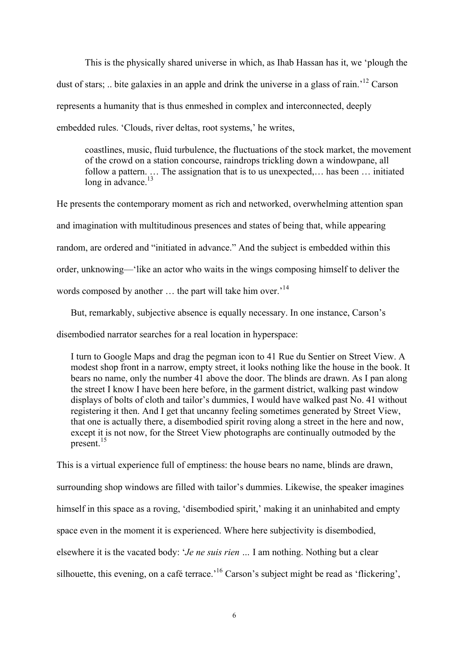This is the physically shared universe in which, as Ihab Hassan has it, we 'plough the dust of stars; .. bite galaxies in an apple and drink the universe in a glass of rain.<sup>'12</sup> Carson represents a humanity that is thus enmeshed in complex and interconnected, deeply embedded rules. 'Clouds, river deltas, root systems,' he writes,

coastlines, music, fluid turbulence, the fluctuations of the stock market, the movement of the crowd on a station concourse, raindrops trickling down a windowpane, all follow a pattern. … The assignation that is to us unexpected,… has been … initiated long in advance.<sup>13</sup>

He presents the contemporary moment as rich and networked, overwhelming attention span and imagination with multitudinous presences and states of being that, while appearing random, are ordered and "initiated in advance." And the subject is embedded within this order, unknowing—'like an actor who waits in the wings composing himself to deliver the words composed by another ... the part will take him over.<sup>14</sup>

But, remarkably, subjective absence is equally necessary. In one instance, Carson's

disembodied narrator searches for a real location in hyperspace:

I turn to Google Maps and drag the pegman icon to 41 Rue du Sentier on Street View. A modest shop front in a narrow, empty street, it looks nothing like the house in the book. It bears no name, only the number 41 above the door. The blinds are drawn. As I pan along the street I know I have been here before, in the garment district, walking past window displays of bolts of cloth and tailor's dummies, I would have walked past No. 41 without registering it then. And I get that uncanny feeling sometimes generated by Street View, that one is actually there, a disembodied spirit roving along a street in the here and now, except it is not now, for the Street View photographs are continually outmoded by the present.<sup>15</sup>

This is a virtual experience full of emptiness: the house bears no name, blinds are drawn, surrounding shop windows are filled with tailor's dummies. Likewise, the speaker imagines himself in this space as a roving, 'disembodied spirit,' making it an uninhabited and empty space even in the moment it is experienced. Where here subjectivity is disembodied, elsewhere it is the vacated body: '*Je ne suis rien …* I am nothing. Nothing but a clear silhouette, this evening, on a café terrace.<sup>16</sup> Carson's subject might be read as 'flickering',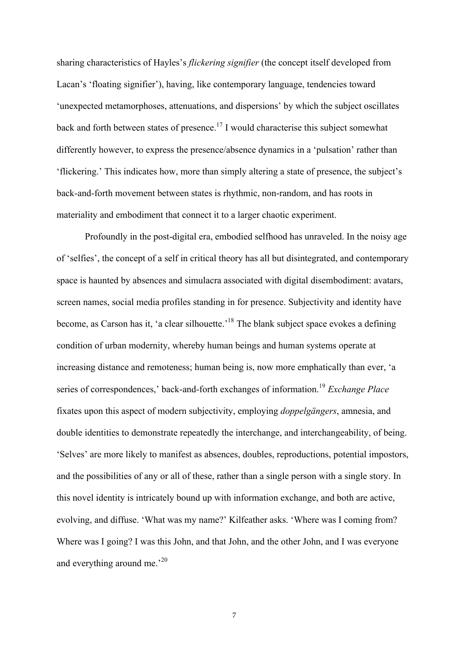sharing characteristics of Hayles's *flickering signifier* (the concept itself developed from Lacan's 'floating signifier'), having, like contemporary language, tendencies toward 'unexpected metamorphoses, attenuations, and dispersions' by which the subject oscillates back and forth between states of presence.<sup>17</sup> I would characterise this subject somewhat differently however, to express the presence/absence dynamics in a 'pulsation' rather than 'flickering.' This indicates how, more than simply altering a state of presence, the subject's back-and-forth movement between states is rhythmic, non-random, and has roots in materiality and embodiment that connect it to a larger chaotic experiment.

Profoundly in the post-digital era, embodied selfhood has unraveled. In the noisy age of 'selfies', the concept of a self in critical theory has all but disintegrated, and contemporary space is haunted by absences and simulacra associated with digital disembodiment: avatars, screen names, social media profiles standing in for presence. Subjectivity and identity have become, as Carson has it, 'a clear silhouette.<sup>18</sup> The blank subject space evokes a defining condition of urban modernity, whereby human beings and human systems operate at increasing distance and remoteness; human being is, now more emphatically than ever, 'a series of correspondences,' back-and-forth exchanges of information. <sup>19</sup> *Exchange Place* fixates upon this aspect of modern subjectivity, employing *doppelgängers*, amnesia, and double identities to demonstrate repeatedly the interchange, and interchangeability, of being. 'Selves' are more likely to manifest as absences, doubles, reproductions, potential impostors, and the possibilities of any or all of these, rather than a single person with a single story. In this novel identity is intricately bound up with information exchange, and both are active, evolving, and diffuse. 'What was my name?' Kilfeather asks. 'Where was I coming from? Where was I going? I was this John, and that John, and the other John, and I was everyone and everything around me.<sup>20</sup>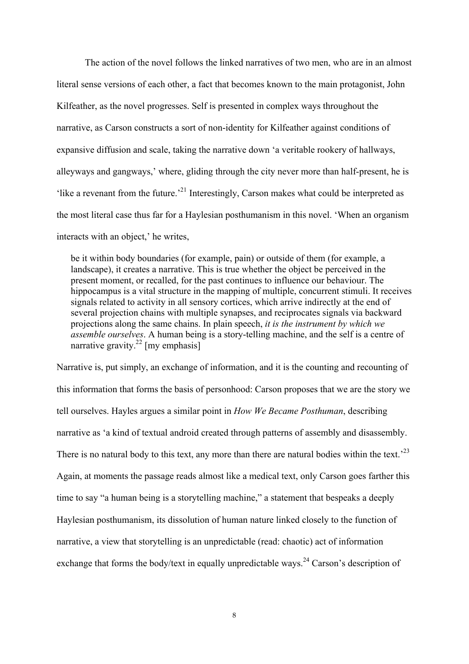The action of the novel follows the linked narratives of two men, who are in an almost literal sense versions of each other, a fact that becomes known to the main protagonist, John Kilfeather, as the novel progresses. Self is presented in complex ways throughout the narrative, as Carson constructs a sort of non-identity for Kilfeather against conditions of expansive diffusion and scale, taking the narrative down 'a veritable rookery of hallways, alleyways and gangways,' where, gliding through the city never more than half-present, he is 'like a revenant from the future.'<sup>21</sup> Interestingly, Carson makes what could be interpreted as the most literal case thus far for a Haylesian posthumanism in this novel. 'When an organism interacts with an object,' he writes,

be it within body boundaries (for example, pain) or outside of them (for example, a landscape), it creates a narrative. This is true whether the object be perceived in the present moment, or recalled, for the past continues to influence our behaviour. The hippocampus is a vital structure in the mapping of multiple, concurrent stimuli. It receives signals related to activity in all sensory cortices, which arrive indirectly at the end of several projection chains with multiple synapses, and reciprocates signals via backward projections along the same chains. In plain speech, *it is the instrument by which we assemble ourselves*. A human being is a story-telling machine, and the self is a centre of narrative gravity.<sup>22</sup> [my emphasis]

Narrative is, put simply, an exchange of information, and it is the counting and recounting of this information that forms the basis of personhood: Carson proposes that we are the story we tell ourselves. Hayles argues a similar point in *How We Became Posthuman*, describing narrative as 'a kind of textual android created through patterns of assembly and disassembly. There is no natural body to this text, any more than there are natural bodies within the text.<sup>23</sup> Again, at moments the passage reads almost like a medical text, only Carson goes farther this time to say "a human being is a storytelling machine," a statement that bespeaks a deeply Haylesian posthumanism, its dissolution of human nature linked closely to the function of narrative, a view that storytelling is an unpredictable (read: chaotic) act of information exchange that forms the body/text in equally unpredictable ways.<sup>24</sup> Carson's description of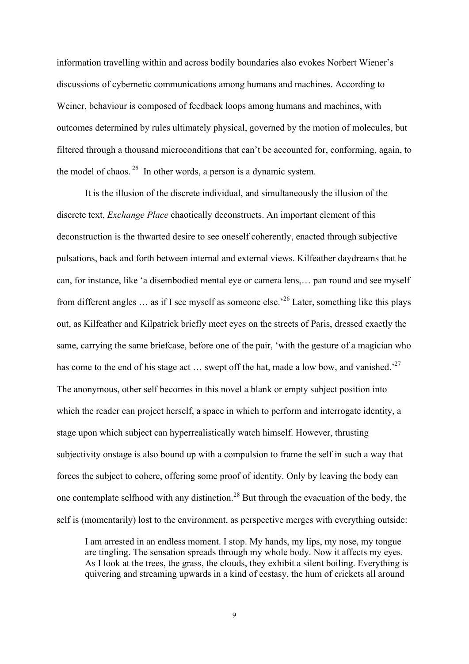information travelling within and across bodily boundaries also evokes Norbert Wiener's discussions of cybernetic communications among humans and machines. According to Weiner, behaviour is composed of feedback loops among humans and machines, with outcomes determined by rules ultimately physical, governed by the motion of molecules, but filtered through a thousand microconditions that can't be accounted for, conforming, again, to the model of chaos.  $25$  In other words, a person is a dynamic system.

It is the illusion of the discrete individual, and simultaneously the illusion of the discrete text, *Exchange Place* chaotically deconstructs. An important element of this deconstruction is the thwarted desire to see oneself coherently, enacted through subjective pulsations, back and forth between internal and external views. Kilfeather daydreams that he can, for instance, like 'a disembodied mental eye or camera lens,… pan round and see myself from different angles  $\dots$  as if I see myself as someone else.<sup>26</sup> Later, something like this plays out, as Kilfeather and Kilpatrick briefly meet eyes on the streets of Paris, dressed exactly the same, carrying the same briefcase, before one of the pair, 'with the gesture of a magician who has come to the end of his stage act  $\ldots$  swept off the hat, made a low bow, and vanished.<sup>27</sup> The anonymous, other self becomes in this novel a blank or empty subject position into which the reader can project herself, a space in which to perform and interrogate identity, a stage upon which subject can hyperrealistically watch himself. However, thrusting subjectivity onstage is also bound up with a compulsion to frame the self in such a way that forces the subject to cohere, offering some proof of identity. Only by leaving the body can one contemplate selfhood with any distinction.<sup>28</sup> But through the evacuation of the body, the self is (momentarily) lost to the environment, as perspective merges with everything outside:

I am arrested in an endless moment. I stop. My hands, my lips, my nose, my tongue are tingling. The sensation spreads through my whole body. Now it affects my eyes. As I look at the trees, the grass, the clouds, they exhibit a silent boiling. Everything is quivering and streaming upwards in a kind of ecstasy, the hum of crickets all around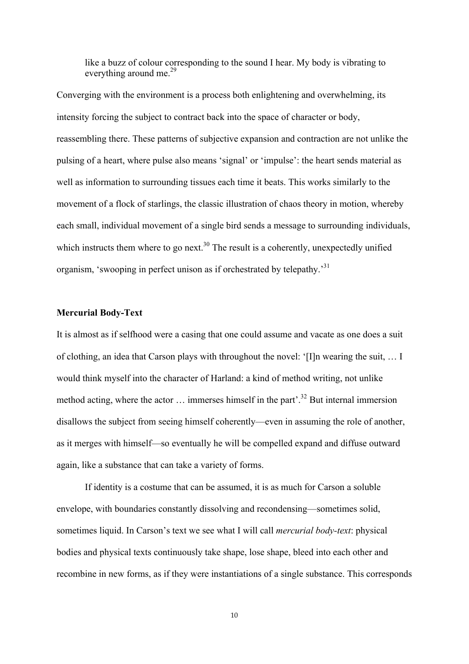like a buzz of colour corresponding to the sound I hear. My body is vibrating to everything around me.<sup>29</sup>

Converging with the environment is a process both enlightening and overwhelming, its intensity forcing the subject to contract back into the space of character or body, reassembling there. These patterns of subjective expansion and contraction are not unlike the pulsing of a heart, where pulse also means 'signal' or 'impulse': the heart sends material as well as information to surrounding tissues each time it beats. This works similarly to the movement of a flock of starlings, the classic illustration of chaos theory in motion, whereby each small, individual movement of a single bird sends a message to surrounding individuals, which instructs them where to go next.<sup>30</sup> The result is a coherently, unexpectedly unified organism, 'swooping in perfect unison as if orchestrated by telepathy.'<sup>31</sup>

#### **Mercurial Body-Text**

It is almost as if selfhood were a casing that one could assume and vacate as one does a suit of clothing, an idea that Carson plays with throughout the novel: '[I]n wearing the suit, … I would think myself into the character of Harland: a kind of method writing, not unlike method acting, where the actor  $\ldots$  immerses himself in the part<sup>2</sup>.<sup>32</sup> But internal immersion disallows the subject from seeing himself coherently—even in assuming the role of another, as it merges with himself—so eventually he will be compelled expand and diffuse outward again, like a substance that can take a variety of forms.

If identity is a costume that can be assumed, it is as much for Carson a soluble envelope, with boundaries constantly dissolving and recondensing—sometimes solid, sometimes liquid. In Carson's text we see what I will call *mercurial body-text*: physical bodies and physical texts continuously take shape, lose shape, bleed into each other and recombine in new forms, as if they were instantiations of a single substance. This corresponds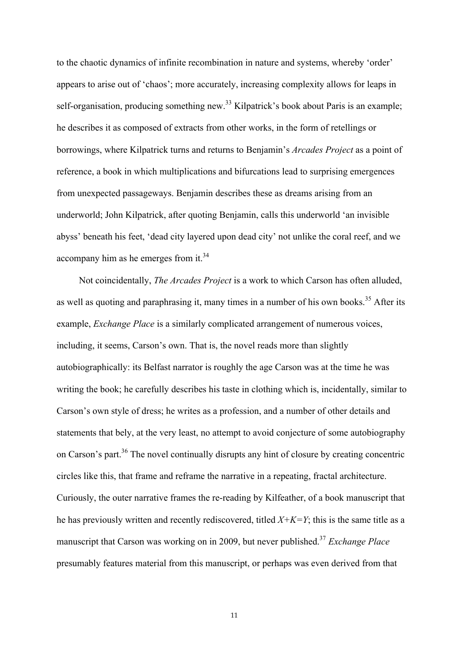to the chaotic dynamics of infinite recombination in nature and systems, whereby 'order' appears to arise out of 'chaos'; more accurately, increasing complexity allows for leaps in self-organisation, producing something new.<sup>33</sup> Kilpatrick's book about Paris is an example; he describes it as composed of extracts from other works, in the form of retellings or borrowings, where Kilpatrick turns and returns to Benjamin's *Arcades Project* as a point of reference, a book in which multiplications and bifurcations lead to surprising emergences from unexpected passageways. Benjamin describes these as dreams arising from an underworld; John Kilpatrick, after quoting Benjamin, calls this underworld 'an invisible abyss' beneath his feet, 'dead city layered upon dead city' not unlike the coral reef, and we accompany him as he emerges from it.<sup>34</sup>

Not coincidentally, *The Arcades Project* is a work to which Carson has often alluded, as well as quoting and paraphrasing it, many times in a number of his own books.<sup>35</sup> After its example, *Exchange Place* is a similarly complicated arrangement of numerous voices, including, it seems, Carson's own. That is, the novel reads more than slightly autobiographically: its Belfast narrator is roughly the age Carson was at the time he was writing the book; he carefully describes his taste in clothing which is, incidentally, similar to Carson's own style of dress; he writes as a profession, and a number of other details and statements that bely, at the very least, no attempt to avoid conjecture of some autobiography on Carson's part.<sup>36</sup> The novel continually disrupts any hint of closure by creating concentric circles like this, that frame and reframe the narrative in a repeating, fractal architecture. Curiously, the outer narrative frames the re-reading by Kilfeather, of a book manuscript that he has previously written and recently rediscovered, titled *X+K=Y*; this is the same title as a manuscript that Carson was working on in 2009, but never published.37 *Exchange Place* presumably features material from this manuscript, or perhaps was even derived from that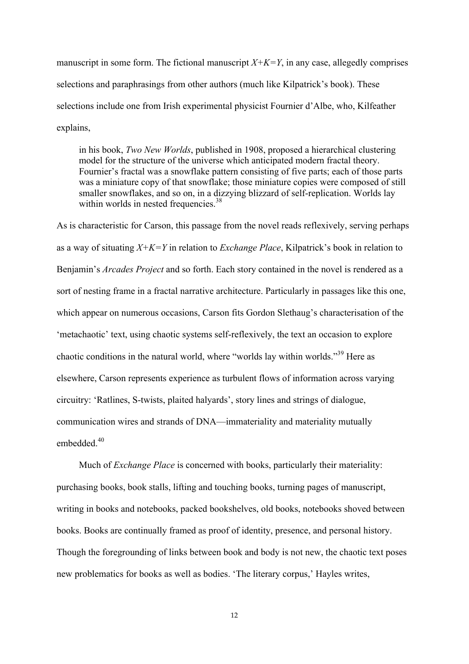manuscript in some form. The fictional manuscript  $X+K=Y$ , in any case, allegedly comprises selections and paraphrasings from other authors (much like Kilpatrick's book). These selections include one from Irish experimental physicist Fournier d'Albe, who, Kilfeather explains,

in his book, *Two New Worlds*, published in 1908, proposed a hierarchical clustering model for the structure of the universe which anticipated modern fractal theory. Fournier's fractal was a snowflake pattern consisting of five parts; each of those parts was a miniature copy of that snowflake; those miniature copies were composed of still smaller snowflakes, and so on, in a dizzying blizzard of self-replication. Worlds lay within worlds in nested frequencies.  $38$ 

As is characteristic for Carson, this passage from the novel reads reflexively, serving perhaps as a way of situating *X+K=Y* in relation to *Exchange Place*, Kilpatrick's book in relation to Benjamin's *Arcades Project* and so forth. Each story contained in the novel is rendered as a sort of nesting frame in a fractal narrative architecture. Particularly in passages like this one, which appear on numerous occasions, Carson fits Gordon Slethaug's characterisation of the 'metachaotic' text, using chaotic systems self-reflexively, the text an occasion to explore chaotic conditions in the natural world, where "worlds lay within worlds."<sup>39</sup> Here as elsewhere, Carson represents experience as turbulent flows of information across varying circuitry: 'Ratlines, S-twists, plaited halyards', story lines and strings of dialogue, communication wires and strands of DNA—immateriality and materiality mutually embedded<sup>40</sup>

Much of *Exchange Place* is concerned with books, particularly their materiality: purchasing books, book stalls, lifting and touching books, turning pages of manuscript, writing in books and notebooks, packed bookshelves, old books, notebooks shoved between books. Books are continually framed as proof of identity, presence, and personal history. Though the foregrounding of links between book and body is not new, the chaotic text poses new problematics for books as well as bodies. 'The literary corpus,' Hayles writes,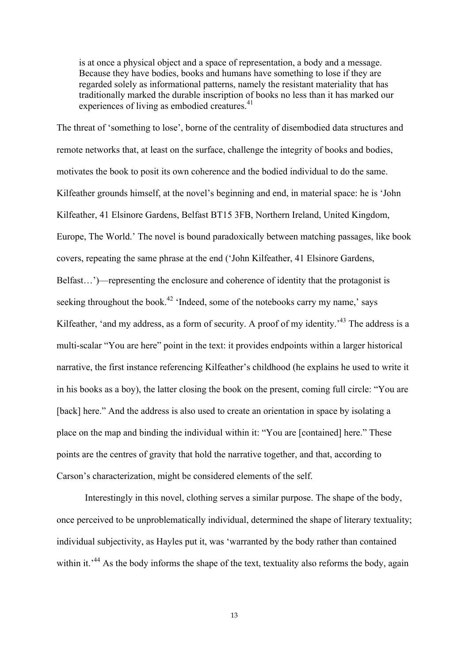is at once a physical object and a space of representation, a body and a message. Because they have bodies, books and humans have something to lose if they are regarded solely as informational patterns, namely the resistant materiality that has traditionally marked the durable inscription of books no less than it has marked our experiences of living as embodied creatures.<sup>41</sup>

The threat of 'something to lose', borne of the centrality of disembodied data structures and remote networks that, at least on the surface, challenge the integrity of books and bodies, motivates the book to posit its own coherence and the bodied individual to do the same. Kilfeather grounds himself, at the novel's beginning and end, in material space: he is 'John Kilfeather, 41 Elsinore Gardens, Belfast BT15 3FB, Northern Ireland, United Kingdom, Europe, The World.' The novel is bound paradoxically between matching passages, like book covers, repeating the same phrase at the end ('John Kilfeather, 41 Elsinore Gardens, Belfast…')—representing the enclosure and coherence of identity that the protagonist is seeking throughout the book.<sup>42</sup> 'Indeed, some of the notebooks carry my name,' says Kilfeather, 'and my address, as a form of security. A proof of my identity.<sup>43</sup> The address is a multi-scalar "You are here" point in the text: it provides endpoints within a larger historical narrative, the first instance referencing Kilfeather's childhood (he explains he used to write it in his books as a boy), the latter closing the book on the present, coming full circle: "You are [back] here." And the address is also used to create an orientation in space by isolating a place on the map and binding the individual within it: "You are [contained] here." These points are the centres of gravity that hold the narrative together, and that, according to Carson's characterization, might be considered elements of the self.

Interestingly in this novel, clothing serves a similar purpose. The shape of the body, once perceived to be unproblematically individual, determined the shape of literary textuality; individual subjectivity, as Hayles put it, was 'warranted by the body rather than contained within it.<sup> $44$ </sup> As the body informs the shape of the text, textuality also reforms the body, again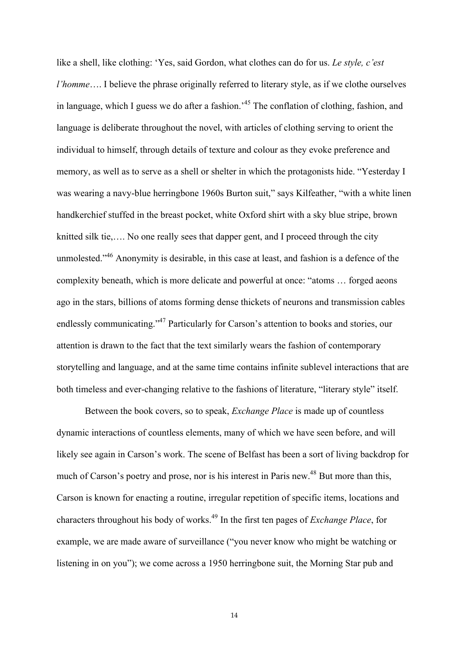like a shell, like clothing: 'Yes, said Gordon, what clothes can do for us. *Le style, c'est l'homme*…. I believe the phrase originally referred to literary style, as if we clothe ourselves in language, which I guess we do after a fashion.<sup>45</sup> The conflation of clothing, fashion, and language is deliberate throughout the novel, with articles of clothing serving to orient the individual to himself, through details of texture and colour as they evoke preference and memory, as well as to serve as a shell or shelter in which the protagonists hide. "Yesterday I was wearing a navy-blue herringbone 1960s Burton suit," says Kilfeather, "with a white linen handkerchief stuffed in the breast pocket, white Oxford shirt with a sky blue stripe, brown knitted silk tie,…. No one really sees that dapper gent, and I proceed through the city unmolested."<sup>46</sup> Anonymity is desirable, in this case at least, and fashion is a defence of the complexity beneath, which is more delicate and powerful at once: "atoms … forged aeons ago in the stars, billions of atoms forming dense thickets of neurons and transmission cables endlessly communicating."<sup>47</sup> Particularly for Carson's attention to books and stories, our attention is drawn to the fact that the text similarly wears the fashion of contemporary storytelling and language, and at the same time contains infinite sublevel interactions that are both timeless and ever-changing relative to the fashions of literature, "literary style" itself.

Between the book covers, so to speak, *Exchange Place* is made up of countless dynamic interactions of countless elements, many of which we have seen before, and will likely see again in Carson's work. The scene of Belfast has been a sort of living backdrop for much of Carson's poetry and prose, nor is his interest in Paris new.<sup>48</sup> But more than this, Carson is known for enacting a routine, irregular repetition of specific items, locations and characters throughout his body of works.49 In the first ten pages of *Exchange Place*, for example, we are made aware of surveillance ("you never know who might be watching or listening in on you"); we come across a 1950 herringbone suit, the Morning Star pub and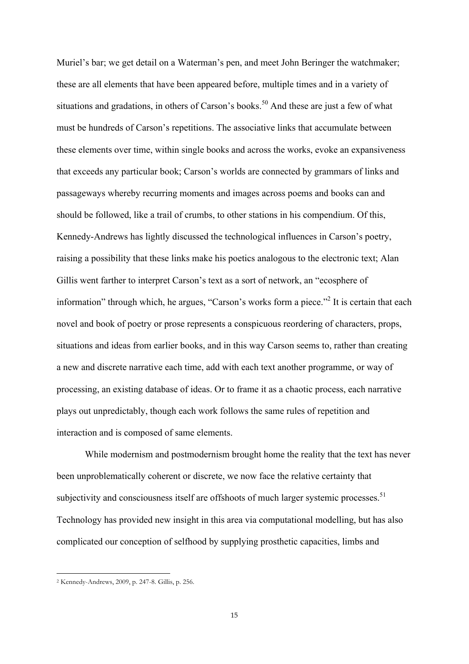Muriel's bar; we get detail on a Waterman's pen, and meet John Beringer the watchmaker; these are all elements that have been appeared before, multiple times and in a variety of situations and gradations, in others of Carson's books.<sup>50</sup> And these are just a few of what must be hundreds of Carson's repetitions. The associative links that accumulate between these elements over time, within single books and across the works, evoke an expansiveness that exceeds any particular book; Carson's worlds are connected by grammars of links and passageways whereby recurring moments and images across poems and books can and should be followed, like a trail of crumbs, to other stations in his compendium. Of this, Kennedy-Andrews has lightly discussed the technological influences in Carson's poetry, raising a possibility that these links make his poetics analogous to the electronic text; Alan Gillis went farther to interpret Carson's text as a sort of network, an "ecosphere of information" through which, he argues, "Carson's works form a piece."<sup>2</sup> It is certain that each novel and book of poetry or prose represents a conspicuous reordering of characters, props, situations and ideas from earlier books, and in this way Carson seems to, rather than creating a new and discrete narrative each time, add with each text another programme, or way of processing, an existing database of ideas. Or to frame it as a chaotic process, each narrative plays out unpredictably, though each work follows the same rules of repetition and interaction and is composed of same elements.

While modernism and postmodernism brought home the reality that the text has never been unproblematically coherent or discrete, we now face the relative certainty that subjectivity and consciousness itself are offshoots of much larger systemic processes.<sup>51</sup> Technology has provided new insight in this area via computational modelling, but has also complicated our conception of selfhood by supplying prosthetic capacities, limbs and

<u> 1989 - Johann Barn, mars ann an t-Amhain an t-Amhain an t-Amhain an t-Amhain an t-Amhain an t-Amhain an t-Amh</u>

<sup>2</sup> Kennedy-Andrews, 2009, p. 247-8. Gillis, p. 256.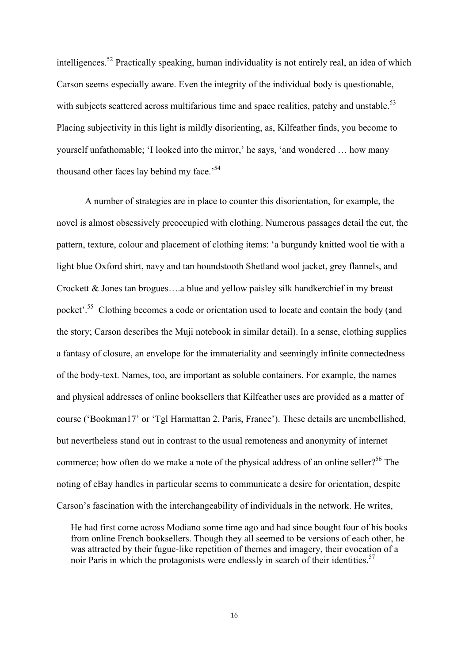intelligences.<sup>52</sup> Practically speaking, human individuality is not entirely real, an idea of which Carson seems especially aware. Even the integrity of the individual body is questionable, with subjects scattered across multifarious time and space realities, patchy and unstable.<sup>53</sup> Placing subjectivity in this light is mildly disorienting, as, Kilfeather finds, you become to yourself unfathomable; 'I looked into the mirror,' he says, 'and wondered … how many thousand other faces lay behind my face.<sup>54</sup>

A number of strategies are in place to counter this disorientation, for example, the novel is almost obsessively preoccupied with clothing. Numerous passages detail the cut, the pattern, texture, colour and placement of clothing items: 'a burgundy knitted wool tie with a light blue Oxford shirt, navy and tan houndstooth Shetland wool jacket, grey flannels, and Crockett & Jones tan brogues….a blue and yellow paisley silk handkerchief in my breast pocket'.<sup>55</sup> Clothing becomes a code or orientation used to locate and contain the body (and the story; Carson describes the Muji notebook in similar detail). In a sense, clothing supplies a fantasy of closure, an envelope for the immateriality and seemingly infinite connectedness of the body-text. Names, too, are important as soluble containers. For example, the names and physical addresses of online booksellers that Kilfeather uses are provided as a matter of course ('Bookman17' or 'Tgl Harmattan 2, Paris, France'). These details are unembellished, but nevertheless stand out in contrast to the usual remoteness and anonymity of internet commerce; how often do we make a note of the physical address of an online seller?<sup>56</sup> The noting of eBay handles in particular seems to communicate a desire for orientation, despite Carson's fascination with the interchangeability of individuals in the network. He writes,

He had first come across Modiano some time ago and had since bought four of his books from online French booksellers. Though they all seemed to be versions of each other, he was attracted by their fugue-like repetition of themes and imagery, their evocation of a noir Paris in which the protagonists were endlessly in search of their identities.<sup>57</sup>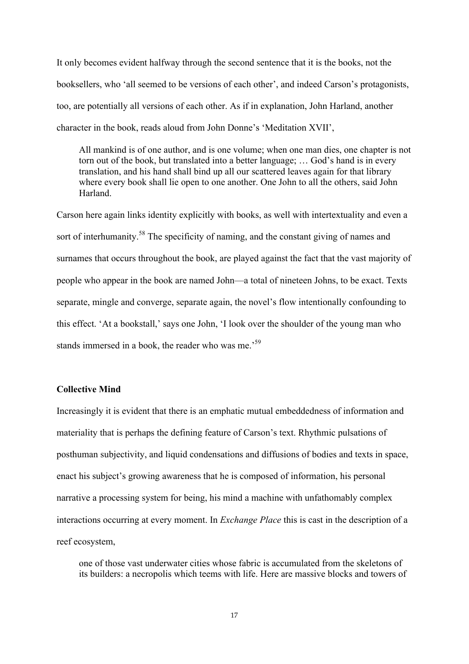It only becomes evident halfway through the second sentence that it is the books, not the booksellers, who 'all seemed to be versions of each other', and indeed Carson's protagonists, too, are potentially all versions of each other. As if in explanation, John Harland, another character in the book, reads aloud from John Donne's 'Meditation XVII',

All mankind is of one author, and is one volume; when one man dies, one chapter is not torn out of the book, but translated into a better language; … God's hand is in every translation, and his hand shall bind up all our scattered leaves again for that library where every book shall lie open to one another. One John to all the others, said John Harland.

Carson here again links identity explicitly with books, as well with intertextuality and even a sort of interhumanity.<sup>58</sup> The specificity of naming, and the constant giving of names and surnames that occurs throughout the book, are played against the fact that the vast majority of people who appear in the book are named John—a total of nineteen Johns, to be exact. Texts separate, mingle and converge, separate again, the novel's flow intentionally confounding to this effect. 'At a bookstall,' says one John, 'I look over the shoulder of the young man who stands immersed in a book, the reader who was me.<sup>59</sup>

## **Collective Mind**

Increasingly it is evident that there is an emphatic mutual embeddedness of information and materiality that is perhaps the defining feature of Carson's text. Rhythmic pulsations of posthuman subjectivity, and liquid condensations and diffusions of bodies and texts in space, enact his subject's growing awareness that he is composed of information, his personal narrative a processing system for being, his mind a machine with unfathomably complex interactions occurring at every moment. In *Exchange Place* this is cast in the description of a reef ecosystem,

one of those vast underwater cities whose fabric is accumulated from the skeletons of its builders: a necropolis which teems with life. Here are massive blocks and towers of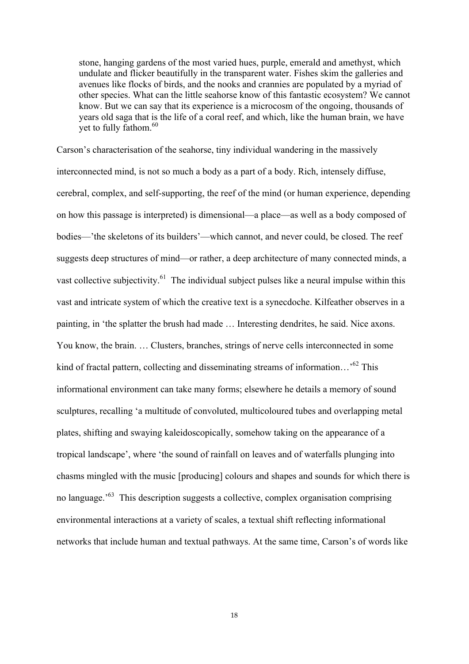stone, hanging gardens of the most varied hues, purple, emerald and amethyst, which undulate and flicker beautifully in the transparent water. Fishes skim the galleries and avenues like flocks of birds, and the nooks and crannies are populated by a myriad of other species. What can the little seahorse know of this fantastic ecosystem? We cannot know. But we can say that its experience is a microcosm of the ongoing, thousands of years old saga that is the life of a coral reef, and which, like the human brain, we have vet to fully fathom. $60$ 

Carson's characterisation of the seahorse, tiny individual wandering in the massively interconnected mind, is not so much a body as a part of a body. Rich, intensely diffuse, cerebral, complex, and self-supporting, the reef of the mind (or human experience, depending on how this passage is interpreted) is dimensional—a place—as well as a body composed of bodies—'the skeletons of its builders'—which cannot, and never could, be closed. The reef suggests deep structures of mind—or rather, a deep architecture of many connected minds, a vast collective subjectivity.<sup>61</sup> The individual subject pulses like a neural impulse within this vast and intricate system of which the creative text is a synecdoche. Kilfeather observes in a painting, in 'the splatter the brush had made … Interesting dendrites, he said. Nice axons. You know, the brain. … Clusters, branches, strings of nerve cells interconnected in some kind of fractal pattern, collecting and disseminating streams of information...<sup>,62</sup> This informational environment can take many forms; elsewhere he details a memory of sound sculptures, recalling 'a multitude of convoluted, multicoloured tubes and overlapping metal plates, shifting and swaying kaleidoscopically, somehow taking on the appearance of a tropical landscape', where 'the sound of rainfall on leaves and of waterfalls plunging into chasms mingled with the music [producing] colours and shapes and sounds for which there is no language.<sup>563</sup> This description suggests a collective, complex organisation comprising environmental interactions at a variety of scales, a textual shift reflecting informational networks that include human and textual pathways. At the same time, Carson's of words like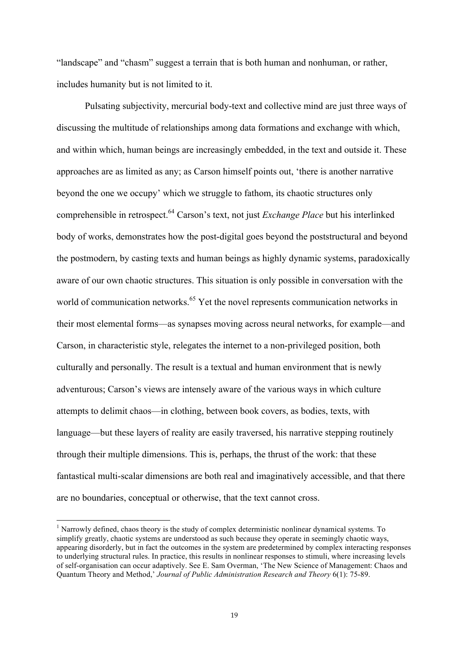"landscape" and "chasm" suggest a terrain that is both human and nonhuman, or rather, includes humanity but is not limited to it.

Pulsating subjectivity, mercurial body-text and collective mind are just three ways of discussing the multitude of relationships among data formations and exchange with which, and within which, human beings are increasingly embedded, in the text and outside it. These approaches are as limited as any; as Carson himself points out, 'there is another narrative beyond the one we occupy' which we struggle to fathom, its chaotic structures only comprehensible in retrospect.64 Carson's text, not just *Exchange Place* but his interlinked body of works, demonstrates how the post-digital goes beyond the poststructural and beyond the postmodern, by casting texts and human beings as highly dynamic systems, paradoxically aware of our own chaotic structures. This situation is only possible in conversation with the world of communication networks.<sup>65</sup> Yet the novel represents communication networks in their most elemental forms—as synapses moving across neural networks, for example—and Carson, in characteristic style, relegates the internet to a non-privileged position, both culturally and personally. The result is a textual and human environment that is newly adventurous; Carson's views are intensely aware of the various ways in which culture attempts to delimit chaos—in clothing, between book covers, as bodies, texts, with language—but these layers of reality are easily traversed, his narrative stepping routinely through their multiple dimensions. This is, perhaps, the thrust of the work: that these fantastical multi-scalar dimensions are both real and imaginatively accessible, and that there are no boundaries, conceptual or otherwise, that the text cannot cross.

<u> 1989 - Johann Barn, mars eta bainar eta industrial eta baina eta baina eta baina eta baina eta baina eta bain</u>

<sup>&</sup>lt;sup>1</sup> Narrowly defined, chaos theory is the study of complex deterministic nonlinear dynamical systems. To simplify greatly, chaotic systems are understood as such because they operate in seemingly chaotic ways, appearing disorderly, but in fact the outcomes in the system are predetermined by complex interacting responses to underlying structural rules. In practice, this results in nonlinear responses to stimuli, where increasing levels of self-organisation can occur adaptively. See E. Sam Overman, 'The New Science of Management: Chaos and Quantum Theory and Method,' *Journal of Public Administration Research and Theory* 6(1): 75-89.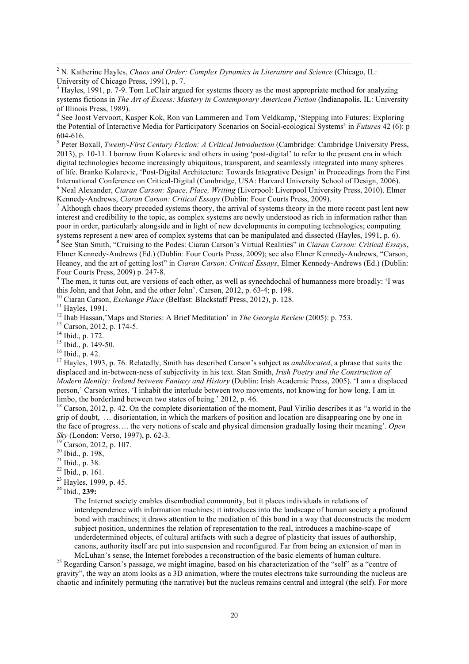<sup>2</sup> N. Katherine Hayles, *Chaos and Order: Complex Dynamics in Literature and Science* (Chicago, IL: University of Chicago Press, 1991), p. 7.

 $3$  Hayles, 1991, p. 7-9. Tom LeClair argued for systems theory as the most appropriate method for analyzing systems fictions in *The Art of Excess: Mastery in Contemporary American Fiction* (Indianapolis, IL: University of Illinois Press, 1989).

 

<sup>4</sup> See Joost Vervoort, Kasper Kok, Ron van Lammeren and Tom Veldkamp, 'Stepping into Futures: Exploring the Potential of Interactive Media for Participatory Scenarios on Social-ecological Systems' in *Futures* 42 (6): p

<sup>5</sup> Peter Boxall, *Twenty-First Century Fiction: A Critical Introduction* (Cambridge: Cambridge University Press, 2013), p. 10-11. I borrow from Kolarevic and others in using 'post-digital' to refer to the present era in which digital technologies become increasingly ubiquitous, transparent, and seamlessly integrated into many spheres of life. Branko Kolarevic, 'Post-Digital Architecture: Towards Integrative Design' in Proceedings from the First International Conference on Critical-Digital (Cambridge, USA: Harvard University School of Design, 2006).<br><sup>6</sup> Neal Alexander, *Ciaran Carson: Space, Place, Writing* (Liverpool: Liverpool University Press, 2010). Elmer<br>Kenn

<sup>7</sup> Although chaos theory preceded systems theory, the arrival of systems theory in the more recent past lent new interest and credibility to the topic, as complex systems are newly understood as rich in information rather than poor in order, particularly alongside and in light of new developments in computing technologies; computing

systems represent a new area of complex systems that can be manipulated and dissected (Hayles, 1991, p. 6).<br><sup>8</sup> See Stan Smith, "Cruising to the Podes: Ciaran Carson's Virtual Realities" in *Ciaran Carson: Critical Essays* Elmer Kennedy-Andrews (Ed.) (Dublin: Four Courts Press, 2009); see also Elmer Kennedy-Andrews, "Carson, Heaney, and the art of getting lost" in *Ciaran Carson: Critical Essays*, Elmer Kennedy-Andrews (Ed.) (Dublin: Four Courts Press, 2009) p. 247-8.<br><sup>9</sup> The men. it turns out, are versions of each other, as well as synechdochal of humanness more broadly: 'I was

this John, and that John, and the other John'. Carson, 2012, p. 63-4; p. 198.<br><sup>10</sup> Ciaran Carson, *Exchange Place* (Belfast: Blackstaff Press, 2012), p. 128.<br><sup>11</sup> Hayles, 1991.<br><sup>12</sup> Ihab Hassan, 'Maps and Stories: A Brief

displaced and in-between-ness of subjectivity in his text. Stan Smith, *Irish Poetry and the Construction of Modern Identity: Ireland between Fantasy and History* (Dublin: Irish Academic Press, 2005). 'I am a displaced person,' Carson writes. 'I inhabit the interlude between two movements, not knowing for how long. I am in limbo, the borderland between two states of being.' 2012, p. 46.

<sup>18</sup> Carson, 2012, p. 42. On the complete disorientation of the moment, Paul Virilio describes it as "a world in the grip of doubt, … disorientation, in which the markers of position and location are disappearing one by one in the face of progress…. the very notions of scale and physical dimension gradually losing their meaning'. *Open Sky* (London: Verso, 1997), p. 62-3.<br><sup>19</sup> Carson, 2012, p. 107.<br><sup>20</sup> Ibid., p. 198,<br><sup>21</sup> Ibid., p. 38.

<sup>22</sup> Ibid., p. 161.

<sup>23</sup> Hayles, 1999, p. 45. <sup>24</sup> Ibid., **239:**

The Internet society enables disembodied community, but it places individuals in relations of interdependence with information machines; it introduces into the landscape of human society a profound bond with machines; it draws attention to the mediation of this bond in a way that deconstructs the modern subject position, undermines the relation of representation to the real, introduces a machine-scape of underdetermined objects, of cultural artifacts with such a degree of plasticity that issues of authorship, canons, authority itself are put into suspension and reconfigured. Far from being an extension of man in

McLuhan's sense, the Internet forebodes a reconstruction of the basic elements of human culture.<br><sup>25</sup> Regarding Carson's passage, we might imagine, based on his characterization of the "self" as a "centre of gravity", the way an atom looks as a 3D animation, where the routes electrons take surrounding the nucleus are chaotic and infinitely permuting (the narrative) but the nucleus remains central and integral (the self). For more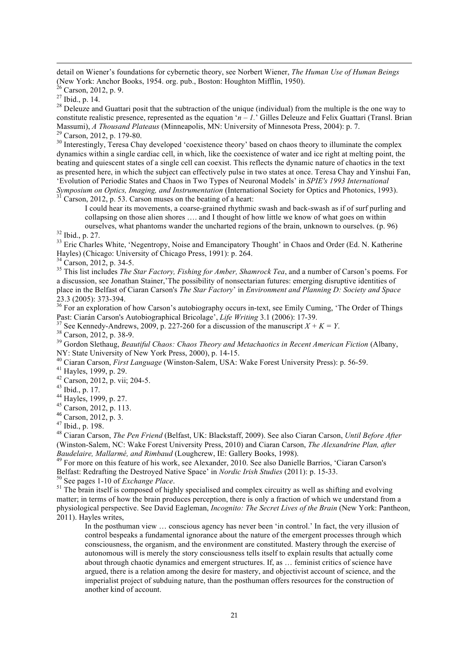detail on Wiener's foundations for cybernetic theory, see Norbert Wiener, *The Human Use of Human Beings* (New York: Anchor Books, 1954. org. pub., Boston: Houghton Mifflin, 1950).<br><sup>26</sup> Carson, 2012, p. 9.

 

<sup>27</sup> Ibid., p. 14. <sup>28</sup> Deleuze and Guattari posit that the subtraction of the unique (individual) from the multiple is the one way to <sup>28</sup> Deleuze and Guattari posit that the subtraction of the unique (individual) from t constitute realistic presence, represented as the equation ' $n - 1$ .' Gilles Deleuze and Felix Guattari (Transl. Brian Massumi), A Thousand Plateaus (Minneapolis, MN: University of Minnesota Press, 2004): p. 7.

 $^{29}$  Carson, 2012, p. 179-80.<br><sup>30</sup> Interestingly, Teresa Chay developed 'coexistence theory' based on chaos theory to illuminate the complex dynamics within a single cardiac cell, in which, like the coexistence of water and ice right at melting point, the beating and quiescent states of a single cell can coexist. This reflects the dynamic nature of chaotics in the text as presented here, in which the subject can effectively pulse in two states at once. Teresa Chay and Yinshui Fan, 'Evolution of Periodic States and Chaos in Two Types of Neuronal Models' in *SPIE's 1993 International Symposium on Optics, Imaging, and Instrumentation* (International Society for Optics and Photonics, 1993).<br><sup>31</sup> Carson, 2012, p. 53. Carson muses on the beating of a heart:

I could hear its movements, a coarse-grained rhythmic swash and back-swash as if of surf purling and collapsing on those alien shores …. and I thought of how little we know of what goes on within

ourselves, what phantoms wander the uncharted regions of the brain, unknown to ourselves. (p. 96)<br><sup>32</sup> Ibid., p. 27.<br><sup>33</sup> Eric Charles White, 'Negentropy, Noise and Emancipatory Thought' in Chaos and Order (Ed. N. Katherin

Hayles) (Chicago: University of Chicago Press, 1991): p. 264.<br><sup>34</sup> Carson, 2012, p. 34-5.

<sup>35</sup> This list includes *The Star Factory, Fishing for Amber, Shamrock Tea*, and a number of Carson's poems. For a discussion, see Jonathan Stainer,'The possibility of nonsectarian futures: emerging disruptive identities of place in the Belfast of Ciaran Carson's *The Star Factory*' in *Environment and Planning D: Society and Space*

23.3 (2005): 373-394.<br><sup>36</sup> For an exploration of how Carson's autobiography occurs in-text, see Emily Cuming, 'The Order of Things<br>Past: Ciarán Carson's Autobiographical Bricolage', *Life Writing* 3.1 (2006): 17-39.

<sup>37</sup> See Kennedy-Andrews, 2009, p. 227-260 for a discussion of the manuscript  $X + K = Y$ .<br><sup>38</sup> Carson, 2012, p. 38-9.<br><sup>39</sup> Gordon Slethaug, *Beautiful Chaos: Chaos Theory and Metachaotics in Recent American Fiction* (Albany,

<sup>40</sup> Ciaran Carson, *First Language* (Winston-Salem, USA: Wake Forest University Press): p. 56-59.<br><sup>41</sup> Hayles, 1999, p. 29.<br><sup>42</sup> Carson, 2012, p. vii; 204-5.<br><sup>43</sup> Ibid., p. 17.<br><sup>44</sup> Hayles, 1999, p. 27.<br><sup>45</sup> Carson, 2012

<sup>48</sup> Ciaran Carson, *The Pen Friend* (Belfast, UK: Blackstaff, 2009). See also Ciaran Carson, *Until Before After* (Winston-Salem, NC: Wake Forest University Press, 2010) and Ciaran Carson, *The Alexandrine Plan, after* 

*Baudelaire, Mallarmé, and Rimbaud* (Loughcrew, IE: Gallery Books, 1998).<br><sup>49</sup> For more on this feature of his work, see Alexander, 2010. See also Danielle Barrios, 'Ciaran Carson's Belfast: Redrafting the Destroyed Native Space' in *Nordic Irish Studies* (2011): p. 15-33.<br><sup>50</sup> See pages 1-10 of *Exchange Place*.<br><sup>51</sup> The brain itself is composed of highly specialised and complex circuitry as well as

matter; in terms of how the brain produces perception, there is only a fraction of which we understand from a physiological perspective. See David Eagleman, *Incognito: The Secret Lives of the Brain* (New York: Pantheon, 2011). Hayles writes,

In the posthuman view … conscious agency has never been 'in control.' In fact, the very illusion of control bespeaks a fundamental ignorance about the nature of the emergent processes through which consciousness, the organism, and the environment are constituted. Mastery through the exercise of autonomous will is merely the story consciousness tells itself to explain results that actually come about through chaotic dynamics and emergent structures. If, as … feminist critics of science have argued, there is a relation among the desire for mastery, and objectivist account of science, and the imperialist project of subduing nature, than the posthuman offers resources for the construction of another kind of account.